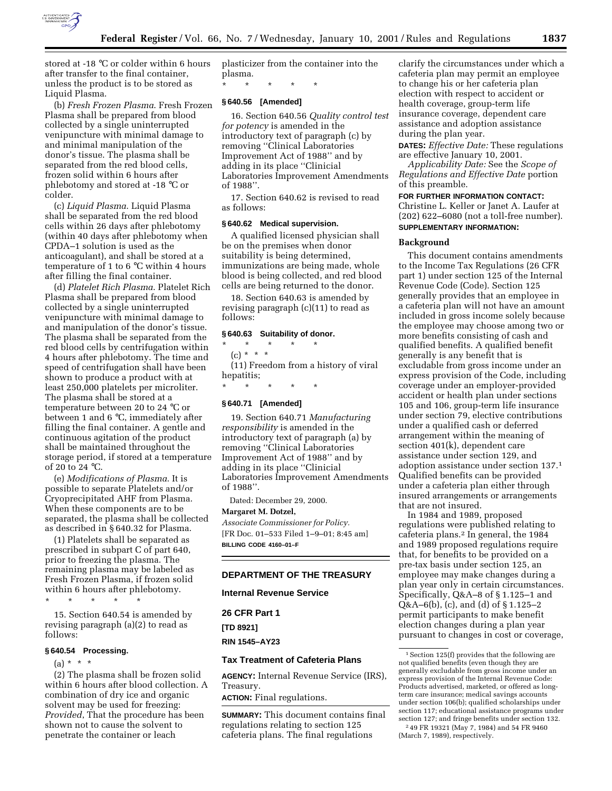

stored at -18 °C or colder within 6 hours after transfer to the final container, unless the product is to be stored as Liquid Plasma.

(b) *Fresh Frozen Plasma*. Fresh Frozen Plasma shall be prepared from blood collected by a single uninterrupted venipuncture with minimal damage to and minimal manipulation of the donor's tissue. The plasma shall be separated from the red blood cells, frozen solid within 6 hours after phlebotomy and stored at -18 °C or colder.

(c) *Liquid Plasma*. Liquid Plasma shall be separated from the red blood cells within 26 days after phlebotomy (within 40 days after phlebotomy when CPDA–1 solution is used as the anticoagulant), and shall be stored at a temperature of 1 to 6 °C within 4 hours after filling the final container.

(d) *Platelet Rich Plasma*. Platelet Rich Plasma shall be prepared from blood collected by a single uninterrupted venipuncture with minimal damage to and manipulation of the donor's tissue. The plasma shall be separated from the red blood cells by centrifugation within 4 hours after phlebotomy. The time and speed of centrifugation shall have been shown to produce a product with at least 250,000 platelets per microliter. The plasma shall be stored at a temperature between 20 to 24 °C or between 1 and 6 °C, immediately after filling the final container. A gentle and continuous agitation of the product shall be maintained throughout the storage period, if stored at a temperature of 20 to 24 °C.

(e) *Modifications of Plasma*. It is possible to separate Platelets and/or Cryoprecipitated AHF from Plasma. When these components are to be separated, the plasma shall be collected as described in § 640.32 for Plasma.

(1) Platelets shall be separated as prescribed in subpart C of part 640, prior to freezing the plasma. The remaining plasma may be labeled as Fresh Frozen Plasma, if frozen solid within 6 hours after phlebotomy.

\* \* \* \* \*

15. Section 640.54 is amended by revising paragraph (a)(2) to read as follows:

# **§ 640.54 Processing.**

 $(a) * * * *$ 

(2) The plasma shall be frozen solid within 6 hours after blood collection. A combination of dry ice and organic solvent may be used for freezing: *Provided*, That the procedure has been shown not to cause the solvent to penetrate the container or leach

plasticizer from the container into the plasma.

\* \* \* \* \*

# **§ 640.56 [Amended]**

16. Section 640.56 *Quality control test for potency* is amended in the introductory text of paragraph (c) by removing ''Clinical Laboratories Improvement Act of 1988'' and by adding in its place ''Clinicial Laboratories Improvement Amendments of 1988''.

17. Section 640.62 is revised to read as follows:

#### **§ 640.62 Medical supervision.**

A qualified licensed physician shall be on the premises when donor suitability is being determined, immunizations are being made, whole blood is being collected, and red blood cells are being returned to the donor.

18. Section 640.63 is amended by revising paragraph (c)(11) to read as follows:

# **§ 640.63 Suitability of donor.**

\* \* \* \* \*  $(c) * * * *$ (11) Freedom from a history of viral hepatitis;

\* \* \* \* \*

# **§ 640.71 [Amended]**

19. Section 640.71 *Manufacturing responsibility* is amended in the introductory text of paragraph (a) by removing ''Clinical Laboratories Improvement Act of 1988'' and by adding in its place ''Clinicial Laboratories Improvement Amendments of 1988''.

Dated: December 29, 2000.

#### **Margaret M. Dotzel,**

*Associate Commissioner for Policy.* [FR Doc. 01–533 Filed 1–9–01; 8:45 am] **BILLING CODE 4160–01–F**

### **DEPARTMENT OF THE TREASURY**

**Internal Revenue Service**

**26 CFR Part 1 [TD 8921] RIN 1545–AY23**

# **Tax Treatment of Cafeteria Plans**

**AGENCY:** Internal Revenue Service (IRS), Treasury.

**ACTION:** Final regulations.

**SUMMARY:** This document contains final regulations relating to section 125 cafeteria plans. The final regulations

clarify the circumstances under which a cafeteria plan may permit an employee to change his or her cafeteria plan election with respect to accident or health coverage, group-term life insurance coverage, dependent care assistance and adoption assistance during the plan year.

**DATES:** *Effective Date:* These regulations are effective January 10, 2001.

*Applicability Date:* See the *Scope of Regulations and Effective Date* portion of this preamble.

### **FOR FURTHER INFORMATION CONTACT:** Christine L. Keller or Janet A. Laufer at

(202) 622–6080 (not a toll-free number). **SUPPLEMENTARY INFORMATION:**

#### **Background**

This document contains amendments to the Income Tax Regulations (26 CFR part 1) under section 125 of the Internal Revenue Code (Code). Section 125 generally provides that an employee in a cafeteria plan will not have an amount included in gross income solely because the employee may choose among two or more benefits consisting of cash and qualified benefits. A qualified benefit generally is any benefit that is excludable from gross income under an express provision of the Code, including coverage under an employer-provided accident or health plan under sections 105 and 106, group-term life insurance under section 79, elective contributions under a qualified cash or deferred arrangement within the meaning of section 401(k), dependent care assistance under section 129, and adoption assistance under section 137.1 Qualified benefits can be provided under a cafeteria plan either through insured arrangements or arrangements that are not insured.

In 1984 and 1989, proposed regulations were published relating to cafeteria plans.2 In general, the 1984 and 1989 proposed regulations require that, for benefits to be provided on a pre-tax basis under section 125, an employee may make changes during a plan year only in certain circumstances. Specifically, Q&A–8 of § 1.125–1 and Q&A–6(b), (c), and (d) of § 1.125–2 permit participants to make benefit election changes during a plan year pursuant to changes in cost or coverage,

(March 7, 1989), respectively.

<sup>1</sup>Section 125(f) provides that the following are not qualified benefits (even though they are generally excludable from gross income under an express provision of the Internal Revenue Code: Products advertised, marketed, or offered as longterm care insurance; medical savings accounts under section 106(b); qualified scholarships under section 117; educational assistance programs under section 127; and fringe benefits under section 132. 2 49 FR 19321 (May 7, 1984) and 54 FR 9460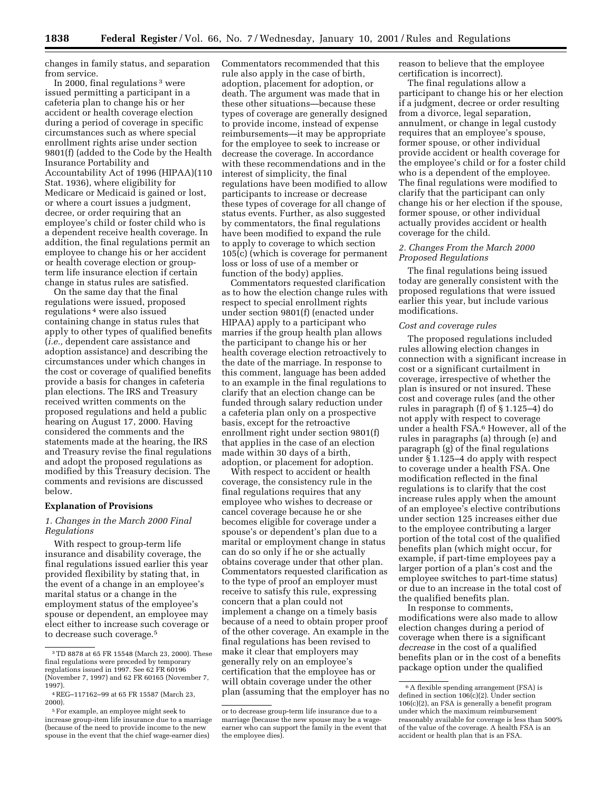changes in family status, and separation from service.

In 2000, final regulations 3 were issued permitting a participant in a cafeteria plan to change his or her accident or health coverage election during a period of coverage in specific circumstances such as where special enrollment rights arise under section 9801(f) (added to the Code by the Health Insurance Portability and Accountability Act of 1996 (HIPAA)(110 Stat. 1936), where eligibility for Medicare or Medicaid is gained or lost, or where a court issues a judgment, decree, or order requiring that an employee's child or foster child who is a dependent receive health coverage. In addition, the final regulations permit an employee to change his or her accident or health coverage election or groupterm life insurance election if certain change in status rules are satisfied.

On the same day that the final regulations were issued, proposed regulations 4 were also issued containing change in status rules that apply to other types of qualified benefits (*i.e.,* dependent care assistance and adoption assistance) and describing the circumstances under which changes in the cost or coverage of qualified benefits provide a basis for changes in cafeteria plan elections. The IRS and Treasury received written comments on the proposed regulations and held a public hearing on August 17, 2000. Having considered the comments and the statements made at the hearing, the IRS and Treasury revise the final regulations and adopt the proposed regulations as modified by this Treasury decision. The comments and revisions are discussed below.

#### **Explanation of Provisions**

### *1. Changes in the March 2000 Final Regulations*

With respect to group-term life insurance and disability coverage, the final regulations issued earlier this year provided flexibility by stating that, in the event of a change in an employee's marital status or a change in the employment status of the employee's spouse or dependent, an employee may elect either to increase such coverage or to decrease such coverage.5

Commentators recommended that this rule also apply in the case of birth, adoption, placement for adoption, or death. The argument was made that in these other situations—because these types of coverage are generally designed to provide income, instead of expense reimbursements—it may be appropriate for the employee to seek to increase or decrease the coverage. In accordance with these recommendations and in the interest of simplicity, the final regulations have been modified to allow participants to increase or decrease these types of coverage for all change of status events. Further, as also suggested by commentators, the final regulations have been modified to expand the rule to apply to coverage to which section 105(c) (which is coverage for permanent loss or loss of use of a member or function of the body) applies.

Commentators requested clarification as to how the election change rules with respect to special enrollment rights under section 9801(f) (enacted under HIPAA) apply to a participant who marries if the group health plan allows the participant to change his or her health coverage election retroactively to the date of the marriage. In response to this comment, language has been added to an example in the final regulations to clarify that an election change can be funded through salary reduction under a cafeteria plan only on a prospective basis, except for the retroactive enrollment right under section 9801(f) that applies in the case of an election made within 30 days of a birth, adoption, or placement for adoption.

With respect to accident or health coverage, the consistency rule in the final regulations requires that any employee who wishes to decrease or cancel coverage because he or she becomes eligible for coverage under a spouse's or dependent's plan due to a marital or employment change in status can do so only if he or she actually obtains coverage under that other plan. Commentators requested clarification as to the type of proof an employer must receive to satisfy this rule, expressing concern that a plan could not implement a change on a timely basis because of a need to obtain proper proof of the other coverage. An example in the final regulations has been revised to make it clear that employers may generally rely on an employee's certification that the employee has or will obtain coverage under the other plan (assuming that the employer has no reason to believe that the employee certification is incorrect).

The final regulations allow a participant to change his or her election if a judgment, decree or order resulting from a divorce, legal separation, annulment, or change in legal custody requires that an employee's spouse, former spouse, or other individual provide accident or health coverage for the employee's child or for a foster child who is a dependent of the employee. The final regulations were modified to clarify that the participant can only change his or her election if the spouse, former spouse, or other individual actually provides accident or health coverage for the child.

### *2. Changes From the March 2000 Proposed Regulations*

The final regulations being issued today are generally consistent with the proposed regulations that were issued earlier this year, but include various modifications.

#### *Cost and coverage rules*

The proposed regulations included rules allowing election changes in connection with a significant increase in cost or a significant curtailment in coverage, irrespective of whether the plan is insured or not insured. These cost and coverage rules (and the other rules in paragraph (f) of § 1.125–4) do not apply with respect to coverage under a health FSA.6 However, all of the rules in paragraphs (a) through (e) and paragraph (g) of the final regulations under § 1.125–4 do apply with respect to coverage under a health FSA. One modification reflected in the final regulations is to clarify that the cost increase rules apply when the amount of an employee's elective contributions under section 125 increases either due to the employee contributing a larger portion of the total cost of the qualified benefits plan (which might occur, for example, if part-time employees pay a larger portion of a plan's cost and the employee switches to part-time status) or due to an increase in the total cost of the qualified benefits plan.

In response to comments, modifications were also made to allow election changes during a period of coverage when there is a significant *decrease* in the cost of a qualified benefits plan or in the cost of a benefits package option under the qualified

<sup>3</sup>TD 8878 at 65 FR 15548 (March 23, 2000). These final regulations were preceded by temporary regulations issued in 1997. See 62 FR 60196 (November 7, 1997) and 62 FR 60165 (November 7, 1997).

<sup>4</sup>REG–117162–99 at 65 FR 15587 (March 23, 2000).

<sup>5</sup>For example, an employee might seek to increase group-item life insurance due to a marriage (because of the need to provide income to the new spouse in the event that the chief wage-earner dies)

or to decrease group-term life insurance due to a marriage (because the new spouse may be a wageearner who can support the family in the event that the employee dies).

<sup>6</sup>A flexible spending arrangement (FSA) is defined in section 106(c)(2). Under section 106(c)(2), an FSA is generally a benefit program under which the maximum reimbursement reasonably available for coverage is less than 500% of the value of the coverage. A health FSA is an accident or health plan that is an FSA.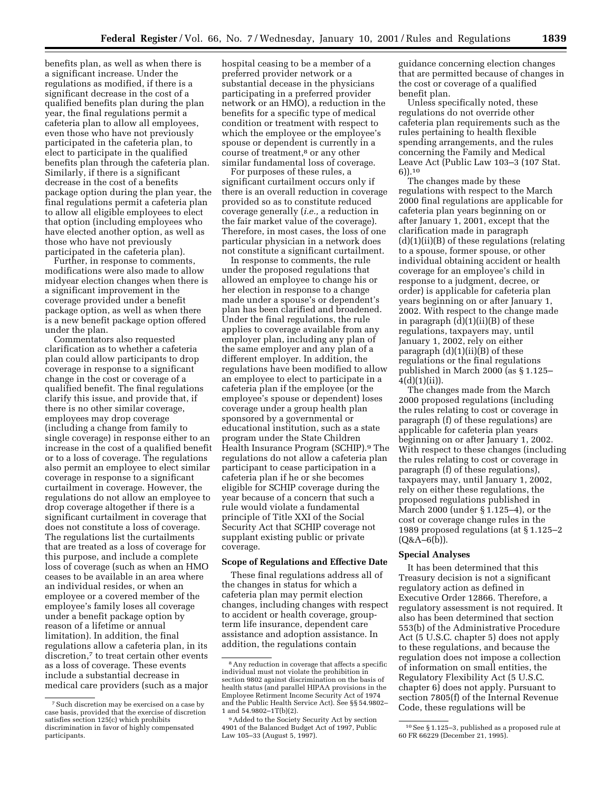benefits plan, as well as when there is a significant increase. Under the regulations as modified, if there is a significant decrease in the cost of a qualified benefits plan during the plan year, the final regulations permit a cafeteria plan to allow all employees, even those who have not previously participated in the cafeteria plan, to elect to participate in the qualified benefits plan through the cafeteria plan. Similarly, if there is a significant decrease in the cost of a benefits package option during the plan year, the final regulations permit a cafeteria plan to allow all eligible employees to elect that option (including employees who have elected another option, as well as those who have not previously participated in the cafeteria plan).

Further, in response to comments, modifications were also made to allow midyear election changes when there is a significant improvement in the coverage provided under a benefit package option, as well as when there is a new benefit package option offered under the plan.

Commentators also requested clarification as to whether a cafeteria plan could allow participants to drop coverage in response to a significant change in the cost or coverage of a qualified benefit. The final regulations clarify this issue, and provide that, if there is no other similar coverage, employees may drop coverage (including a change from family to single coverage) in response either to an increase in the cost of a qualified benefit or to a loss of coverage. The regulations also permit an employee to elect similar coverage in response to a significant curtailment in coverage. However, the regulations do not allow an employee to drop coverage altogether if there is a significant curtailment in coverage that does not constitute a loss of coverage. The regulations list the curtailments that are treated as a loss of coverage for this purpose, and include a complete loss of coverage (such as when an HMO ceases to be available in an area where an individual resides, or when an employee or a covered member of the employee's family loses all coverage under a benefit package option by reason of a lifetime or annual limitation). In addition, the final regulations allow a cafeteria plan, in its discretion,<sup>7</sup> to treat certain other events as a loss of coverage. These events include a substantial decrease in medical care providers (such as a major

hospital ceasing to be a member of a preferred provider network or a substantial decease in the physicians participating in a preferred provider network or an HMO), a reduction in the benefits for a specific type of medical condition or treatment with respect to which the employee or the employee's spouse or dependent is currently in a course of treatment,<sup>8</sup> or any other similar fundamental loss of coverage.

For purposes of these rules, a significant curtailment occurs only if there is an overall reduction in coverage provided so as to constitute reduced coverage generally (*i.e.,* a reduction in the fair market value of the coverage). Therefore, in most cases, the loss of one particular physician in a network does not constitute a significant curtailment.

In response to comments, the rule under the proposed regulations that allowed an employee to change his or her election in response to a change made under a spouse's or dependent's plan has been clarified and broadened. Under the final regulations, the rule applies to coverage available from any employer plan, including any plan of the same employer and any plan of a different employer. In addition, the regulations have been modified to allow an employee to elect to participate in a cafeteria plan if the employee (or the employee's spouse or dependent) loses coverage under a group health plan sponsored by a governmental or educational institution, such as a state program under the State Children Health Insurance Program (SCHIP).9 The regulations do not allow a cafeteria plan participant to cease participation in a cafeteria plan if he or she becomes eligible for SCHIP coverage during the year because of a concern that such a rule would violate a fundamental principle of Title XXI of the Social Security Act that SCHIP coverage not supplant existing public or private coverage.

# **Scope of Regulations and Effective Date**

These final regulations address all of the changes in status for which a cafeteria plan may permit election changes, including changes with respect to accident or health coverage, groupterm life insurance, dependent care assistance and adoption assistance. In addition, the regulations contain

guidance concerning election changes that are permitted because of changes in the cost or coverage of a qualified benefit plan.

Unless specifically noted, these regulations do not override other cafeteria plan requirements such as the rules pertaining to health flexible spending arrangements, and the rules concerning the Family and Medical Leave Act (Public Law 103–3 (107 Stat. 6)).10

The changes made by these regulations with respect to the March 2000 final regulations are applicable for cafeteria plan years beginning on or after January 1, 2001, except that the clarification made in paragraph (d)(1)(ii)(B) of these regulations (relating to a spouse, former spouse, or other individual obtaining accident or health coverage for an employee's child in response to a judgment, decree, or order) is applicable for cafeteria plan years beginning on or after January 1, 2002. With respect to the change made in paragraph  $(d)(1)(ii)(B)$  of these regulations, taxpayers may, until January 1, 2002, rely on either paragraph  $(d)(1)(ii)(B)$  of these regulations or the final regulations published in March 2000 (as § 1.125–  $4(d)(1)(ii)$ ).

The changes made from the March 2000 proposed regulations (including the rules relating to cost or coverage in paragraph (f) of these regulations) are applicable for cafeteria plan years beginning on or after January 1, 2002. With respect to these changes (including the rules relating to cost or coverage in paragraph (f) of these regulations), taxpayers may, until January 1, 2002, rely on either these regulations, the proposed regulations published in March 2000 (under § 1.125–4), or the cost or coverage change rules in the 1989 proposed regulations (at § 1.125–2  $(Q&A-6(b))$ .

# **Special Analyses**

It has been determined that this Treasury decision is not a significant regulatory action as defined in Executive Order 12866. Therefore, a regulatory assessment is not required. It also has been determined that section 553(b) of the Administrative Procedure Act (5 U.S.C. chapter 5) does not apply to these regulations, and because the regulation does not impose a collection of information on small entities, the Regulatory Flexibility Act (5 U.S.C. chapter 6) does not apply. Pursuant to section 7805(f) of the Internal Revenue Code, these regulations will be

<sup>7</sup>Such discretion may be exercised on a case by case basis, provided that the exercise of discretion satisfies section 125(c) which prohibits discrimination in favor of highly compensated participants.

<sup>8</sup>Any reduction in coverage that affects a specific individual must not violate the prohibition in section 9802 against discrimination on the basis of health status (and parallel HIPAA provisions in the Employee Retirment Income Security Act of 1974 and the Public Health Service Act). See §§ 54.9802– 1 and 54.9802–1T(b)(2).

<sup>9</sup>Added to the Society Security Act by section 4901 of the Balanced Budget Act of 1997, Public Law 105–33 (August 5, 1997).

<sup>10</sup>See § 1.125–3, published as a proposed rule at 60 FR 66229 (December 21, 1995).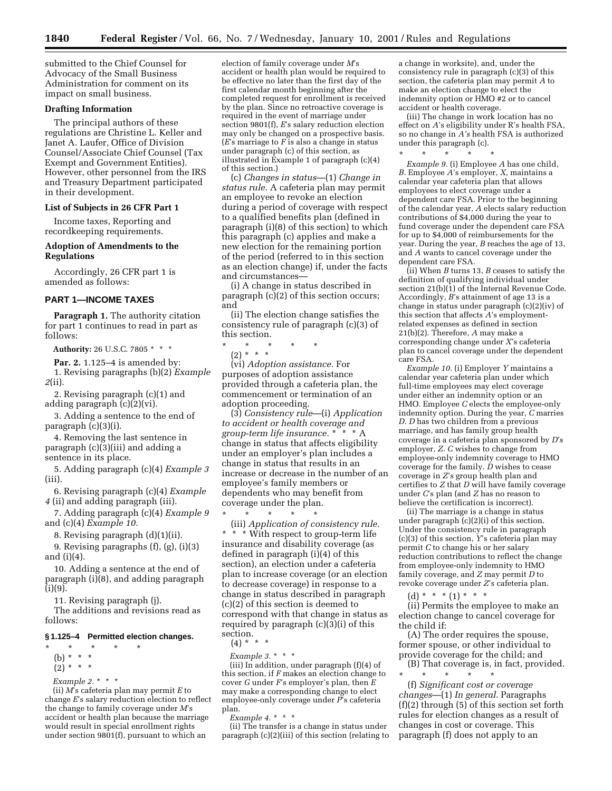submitted to the Chief Counsel for Advocacy of the Small Business Administration for comment on its impact on small business.

#### **Drafting Information**

The principal authors of these regulations are Christine L. Keller and Janet A. Laufer, Office of Division Counsel/Associate Chief Counsel (Tax Exempt and Government Entities). However, other personnel from the IRS and Treasury Department participated in their development.

#### **List of Subjects in 26 CFR Part 1**

Income taxes, Reporting and recordkeeping requirements.

### **Adoption of Amendments to the Regulations**

Accordingly, 26 CFR part 1 is amended as follows:

## **PART 1—INCOME TAXES**

**Paragraph 1.** The authority citation for part 1 continues to read in part as follows:

**Authority:** 26 U.S.C. 7805 \* \* \*

**Par. 2.** 1.125–4 is amended by: 1. Revising paragraphs (b)(2) *Example*

*2*(ii).

2. Revising paragraph (c)(1) and adding paragraph (c)(2)(vi).

3. Adding a sentence to the end of paragraph (c)(3)(i).

4. Removing the last sentence in paragraph (c)(3)(iii) and adding a sentence in its place.

5. Adding paragraph (c)(4) *Example 3* (iii).

6. Revising paragraph (c)(4) *Example 4* (ii) and adding paragraph (iii).

7. Adding paragraph (c)(4) *Example 9* and (c)(4) *Example 10.*

8. Revising paragraph (d)(1)(ii).

9. Revising paragraphs (f), (g), (i)(3) and (i)(4).

10. Adding a sentence at the end of paragraph (i)(8), and adding paragraph (i)(9).

11. Revising paragraph (j).

The additions and revisions read as follows:

#### **§ 1.125–4 Permitted election changes.**

\* \* \* \* \* (b) \* \* \*  $(2) * * * *$ 

*Example 2.\** \*\*

(ii) *M*'s cafeteria plan may permit *E* to change *E*'s salary reduction election to reflect the change to family coverage under *M*'s accident or health plan because the marriage would result in special enrollment rights under section 9801(f), pursuant to which an

election of family coverage under *M*'s accident or health plan would be required to be effective no later than the first day of the first calendar month beginning after the completed request for enrollment is received by the plan. Since no retroactive coverage is required in the event of marriage under section 9801(f), *E*'s salary reduction election may only be changed on a prospective basis. (*E*'s marriage to *F* is also a change in status under paragraph (c) of this section, as illustrated in Example 1 of paragraph (c)(4) of this section.)

(c) *Changes in status*—(1) *Change in status rule.* A cafeteria plan may permit an employee to revoke an election during a period of coverage with respect to a qualified benefits plan (defined in paragraph (i)(8) of this section) to which this paragraph (c) applies and make a new election for the remaining portion of the period (referred to in this section as an election change) if, under the facts and circumstances—

(i) A change in status described in paragraph  $(c)(2)$  of this section occurs; and

(ii) The election change satisfies the consistency rule of paragraph (c)(3) of this section.

\* \* \* \* \*

(2) \* \* \*

(vi) *Adoption assistance.* For purposes of adoption assistance provided through a cafeteria plan, the commencement or termination of an adoption proceeding.

(3) *Consistency rule*—(i) *Application to accident or health coverage and group-term life insurance.* \* \* \* A change in status that affects eligibility under an employer's plan includes a change in status that results in an increase or decrease in the number of an employee's family members or dependents who may benefit from coverage under the plan.

\* \* \* \* \* (iii) *Application of consistency rule.* \* \* \* With respect to group-term life insurance and disability coverage (as defined in paragraph (i)(4) of this section), an election under a cafeteria plan to increase coverage (or an election to decrease coverage) in response to a change in status described in paragraph (c)(2) of this section is deemed to correspond with that change in status as required by paragraph (c)(3)(i) of this section.

- $(4) * * * *$
- *Example 3.* \*\*\*

(iii) In addition, under paragraph (f)(4) of this section, if *F* makes an election change to cover *G* under *F*'s employer's plan, then *E* may make a corresponding change to elect employee-only coverage under *P*'s cafeteria plan.

*Example 4.\* \* \** 

(ii) The transfer is a change in status under paragraph (c)(2)(iii) of this section (relating to

a change in worksite), and, under the consistency rule in paragraph (c)(3) of this section, the cafeteria plan may permit *A* to make an election change to elect the indemnity option or HMO #2 or to cancel accident or health coverage.

(iii) The change in work location has no effect on *A*'s eligibility under R's health FSA, so no change in *A's* health FSA is authorized under this paragraph (c).

\* \* \* \* \*

*Example 9.* (i) Employee *A* has one child, *B.* Employee *A*'s employer, *X,* maintains a calendar year cafeteria plan that allows employees to elect coverage under a dependent care FSA. Prior to the beginning of the calendar year, *A* elects salary reduction contributions of \$4,000 during the year to fund coverage under the dependent care FSA for up to \$4,000 of reimbursements for the year. During the year, *B* reaches the age of 13, and *A* wants to cancel coverage under the dependent care FSA.

(ii) When *B* turns 13, *B* ceases to satisfy the definition of qualifying individual under section 21(b)(1) of the Internal Revenue Code. Accordingly, *B*'s attainment of age 13 is a change in status under paragraph (c)(2)(iv) of this section that affects *A*'s employmentrelated expenses as defined in section 21(b)(2). Therefore, *A* may make a corresponding change under *X*'s cafeteria plan to cancel coverage under the dependent care FSA.

*Example 10.* (i) Employer *Y* maintains a calendar year cafeteria plan under which full-time employees may elect coverage under either an indemnity option or an HMO. Employee *C* elects the employee-only indemnity option. During the year, *C* marries *D*. *D* has two children from a previous marriage, and has family group health coverage in a cafeteria plan sponsored by *D*'s employer, *Z. C* wishes to change from employee-only indemnity coverage to HMO coverage for the family. *D* wishes to cease coverage in *Z*'s group health plan and certifies to *Z* that *D* will have family coverage under *C*'s plan (and *Z* has no reason to believe the certification is incorrect).

(ii) The marriage is a change in status under paragraph (c)(2)(i) of this section. Under the consistency rule in paragraph (c)(3) of this section, *Y*'s cafeteria plan may permit *C* to change his or her salary reduction contributions to reflect the change from employee-only indemnity to HMO family coverage, and *Z* may permit *D* to revoke coverage under *Z*'s cafeteria plan.

(d) \* \* \* (1) \* \* \*

(ii) Permits the employee to make an election change to cancel coverage for the child if:

(A) The order requires the spouse, former spouse, or other individual to provide coverage for the child; and

(B) That coverage is, in fact, provided. \* \* \* \* \*

(f) *Significant cost or coverage changes*—(1) *In general.* Paragraphs (f)(2) through (5) of this section set forth rules for election changes as a result of changes in cost or coverage. This paragraph (f) does not apply to an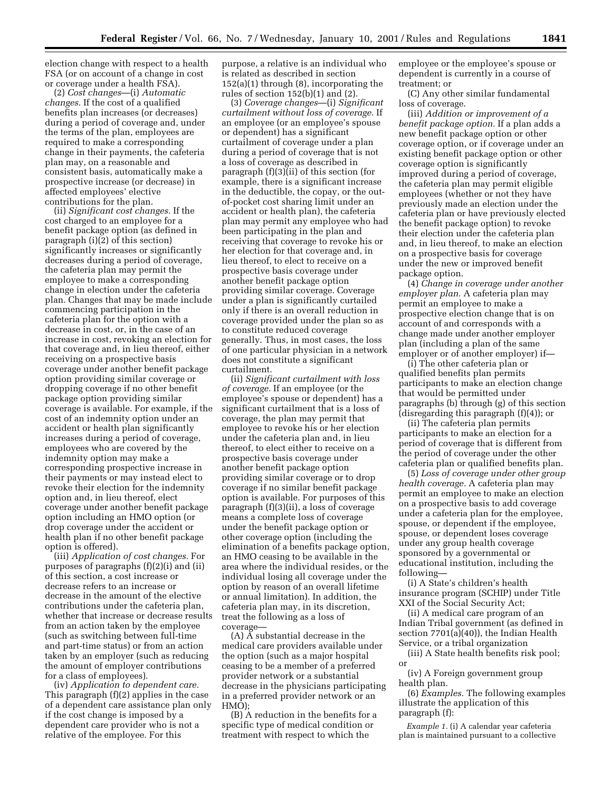election change with respect to a health FSA (or on account of a change in cost or coverage under a health FSA).

(2) *Cost changes*—(i) *Automatic changes.* If the cost of a qualified benefits plan increases (or decreases) during a period of coverage and, under the terms of the plan, employees are required to make a corresponding change in their payments, the cafeteria plan may, on a reasonable and consistent basis, automatically make a prospective increase (or decrease) in affected employees' elective contributions for the plan.

(ii) *Significant cost changes.* If the cost charged to an employee for a benefit package option (as defined in paragraph (i)(2) of this section) significantly increases or significantly decreases during a period of coverage, the cafeteria plan may permit the employee to make a corresponding change in election under the cafeteria plan. Changes that may be made include commencing participation in the cafeteria plan for the option with a decrease in cost, or, in the case of an increase in cost, revoking an election for that coverage and, in lieu thereof, either receiving on a prospective basis coverage under another benefit package option providing similar coverage or dropping coverage if no other benefit package option providing similar coverage is available. For example, if the cost of an indemnity option under an accident or health plan significantly increases during a period of coverage, employees who are covered by the indemnity option may make a corresponding prospective increase in their payments or may instead elect to revoke their election for the indemnity option and, in lieu thereof, elect coverage under another benefit package option including an HMO option (or drop coverage under the accident or health plan if no other benefit package option is offered).

(iii) *Application of cost changes.* For purposes of paragraphs (f)(2)(i) and (ii) of this section, a cost increase or decrease refers to an increase or decrease in the amount of the elective contributions under the cafeteria plan, whether that increase or decrease results from an action taken by the employee (such as switching between full-time and part-time status) or from an action taken by an employer (such as reducing the amount of employer contributions for a class of employees).

(iv) *Application to dependent care.* This paragraph (f)(2) applies in the case of a dependent care assistance plan only if the cost change is imposed by a dependent care provider who is not a relative of the employee. For this

purpose, a relative is an individual who is related as described in section 152(a)(1) through (8), incorporating the rules of section 152(b)(1) and (2).

(3) *Coverage changes*—(i) *Significant curtailment without loss of coverage.* If an employee (or an employee's spouse or dependent) has a significant curtailment of coverage under a plan during a period of coverage that is not a loss of coverage as described in paragraph (f)(3)(ii) of this section (for example, there is a significant increase in the deductible, the copay, or the outof-pocket cost sharing limit under an accident or health plan), the cafeteria plan may permit any employee who had been participating in the plan and receiving that coverage to revoke his or her election for that coverage and, in lieu thereof, to elect to receive on a prospective basis coverage under another benefit package option providing similar coverage. Coverage under a plan is significantly curtailed only if there is an overall reduction in coverage provided under the plan so as to constitute reduced coverage generally. Thus, in most cases, the loss of one particular physician in a network does not constitute a significant curtailment.

(ii) *Significant curtailment with loss of coverage.* If an employee (or the employee's spouse or dependent) has a significant curtailment that is a loss of coverage, the plan may permit that employee to revoke his or her election under the cafeteria plan and, in lieu thereof, to elect either to receive on a prospective basis coverage under another benefit package option providing similar coverage or to drop coverage if no similar benefit package option is available. For purposes of this paragraph (f)(3)(ii), a loss of coverage means a complete loss of coverage under the benefit package option or other coverage option (including the elimination of a benefits package option, an HMO ceasing to be available in the area where the individual resides, or the individual losing all coverage under the option by reason of an overall lifetime or annual limitation). In addition, the cafeteria plan may, in its discretion, treat the following as a loss of coverage—

 $(A)$   $\check{A}$  substantial decrease in the medical care providers available under the option (such as a major hospital ceasing to be a member of a preferred provider network or a substantial decrease in the physicians participating in a preferred provider network or an HMO);

(B) A reduction in the benefits for a specific type of medical condition or treatment with respect to which the

employee or the employee's spouse or dependent is currently in a course of treatment; or

(C) Any other similar fundamental loss of coverage.

(iii) *Addition or improvement of a benefit package option.* If a plan adds a new benefit package option or other coverage option, or if coverage under an existing benefit package option or other coverage option is significantly improved during a period of coverage, the cafeteria plan may permit eligible employees (whether or not they have previously made an election under the cafeteria plan or have previously elected the benefit package option) to revoke their election under the cafeteria plan and, in lieu thereof, to make an election on a prospective basis for coverage under the new or improved benefit package option.

(4) *Change in coverage under another employer plan.* A cafeteria plan may permit an employee to make a prospective election change that is on account of and corresponds with a change made under another employer plan (including a plan of the same employer or of another employer) if—

(i) The other cafeteria plan or qualified benefits plan permits participants to make an election change that would be permitted under paragraphs (b) through (g) of this section (disregarding this paragraph (f)(4)); or

(ii) The cafeteria plan permits participants to make an election for a period of coverage that is different from the period of coverage under the other cafeteria plan or qualified benefits plan.

(5) *Loss of coverage under other group health coverage.* A cafeteria plan may permit an employee to make an election on a prospective basis to add coverage under a cafeteria plan for the employee, spouse, or dependent if the employee, spouse, or dependent loses coverage under any group health coverage sponsored by a governmental or educational institution, including the following—

(i) A State's children's health insurance program (SCHIP) under Title XXI of the Social Security Act;

(ii) A medical care program of an Indian Tribal government (as defined in section 7701(a)(40)), the Indian Health Service, or a tribal organization

(iii) A State health benefits risk pool; or

(iv) A Foreign government group health plan.

(6) *Examples.* The following examples illustrate the application of this paragraph (f):

*Example 1.* (i) A calendar year cafeteria plan is maintained pursuant to a collective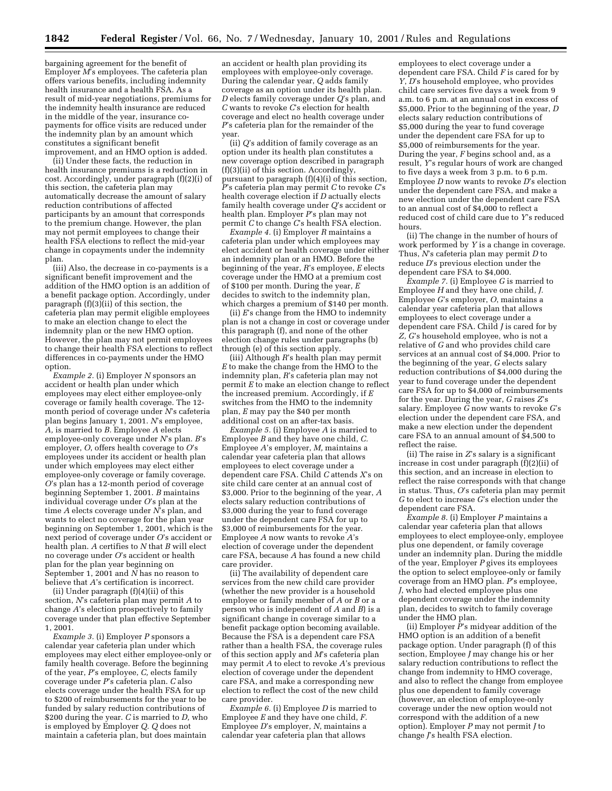bargaining agreement for the benefit of Employer *M*'s employees. The cafeteria plan offers various benefits, including indemnity health insurance and a health FSA. As a result of mid-year negotiations, premiums for the indemnity health insurance are reduced in the middle of the year, insurance copayments for office visits are reduced under the indemnity plan by an amount which constitutes a significant benefit improvement, and an HMO option is added.

(ii) Under these facts, the reduction in health insurance premiums is a reduction in cost. Accordingly, under paragraph (f)(2)(i) of this section, the cafeteria plan may automatically decrease the amount of salary reduction contributions of affected participants by an amount that corresponds to the premium change. However, the plan may not permit employees to change their health FSA elections to reflect the mid-year change in copayments under the indemnity plan.

(iii) Also, the decrease in co-payments is a significant benefit improvement and the addition of the HMO option is an addition of a benefit package option. Accordingly, under paragraph  $(f)(3)$ (ii) of this section, the cafeteria plan may permit eligible employees to make an election change to elect the indemnity plan or the new HMO option. However, the plan may not permit employees to change their health FSA elections to reflect differences in co-payments under the HMO option.

*Example 2.* (i) Employer *N* sponsors an accident or health plan under which employees may elect either employee-only coverage or family health coverage. The 12 month period of coverage under *N*'s cafeteria plan begins January 1, 2001. *N*'s employee, *A,* is married to *B.* Employee *A* elects employee-only coverage under *N*'s plan. *B*'s employer, *O*, offers health coverage to *O*'s employees under its accident or health plan under which employees may elect either employee-only coverage or family coverage. *O*'s plan has a 12-month period of coverage beginning September 1, 2001. *B* maintains individual coverage under *O*'s plan at the time *A* elects coverage under *N*'s plan, and wants to elect no coverage for the plan year beginning on September 1, 2001, which is the next period of coverage under *O*'s accident or health plan. *A* certifies to *N* that *B* will elect no coverage under *O*'s accident or health plan for the plan year beginning on September 1, 2001 and *N* has no reason to believe that *A*'s certification is incorrect.

(ii) Under paragraph (f)(4)(ii) of this section, *N*'s cafeteria plan may permit *A* to change *A*'s election prospectively to family coverage under that plan effective September 1, 2001.

*Example 3.* (i) Employer *P* sponsors a calendar year cafeteria plan under which employees may elect either employee-only or family health coverage. Before the beginning of the year, *P*'s employee, *C,* elects family coverage under *P*'s cafeteria plan. *C* also elects coverage under the health FSA for up to \$200 of reimbursements for the year to be funded by salary reduction contributions of \$200 during the year. *C* is married to *D,* who is employed by Employer *Q. Q* does not maintain a cafeteria plan, but does maintain

an accident or health plan providing its employees with employee-only coverage. During the calendar year, *Q* adds family coverage as an option under its health plan. *D* elects family coverage under *Q*'s plan, and *C* wants to revoke *C*'s election for health coverage and elect no health coverage under *P*'s cafeteria plan for the remainder of the year.

(ii) *Q*'s addition of family coverage as an option under its health plan constitutes a new coverage option described in paragraph (f)(3)(ii) of this section. Accordingly, pursuant to paragraph (f)(4)(i) of this section, *P*'s cafeteria plan may permit *C* to revoke *C*'s health coverage election if *D* actually elects family health coverage under *Q*'s accident or health plan. Employer *P*'s plan may not permit *C* to change *C*'s health FSA election.

*Example 4.* (i) Employer *R* maintains a cafeteria plan under which employees may elect accident or health coverage under either an indemnity plan or an HMO. Before the beginning of the year, *R*'s employee, *E* elects coverage under the HMO at a premium cost of \$100 per month. During the year, *E* decides to switch to the indemnity plan, which charges a premium of \$140 per month.

(ii) *E*'s change from the HMO to indemnity plan is not a change in cost or coverage under this paragraph (f), and none of the other election change rules under paragraphs (b) through (e) of this section apply.

(iii) Although *R*'s health plan may permit  $E$  to make the change from the HMO to the indemnity plan, *R*'s cafeteria plan may not permit *E* to make an election change to reflect the increased premium. Accordingly, if *E* switches from the HMO to the indemnity plan, *E* may pay the \$40 per month additional cost on an after-tax basis.

*Example 5.* (i) Employee *A* is married to Employee *B* and they have one child, *C.* Employee *A*'s employer, *M,* maintains a calendar year cafeteria plan that allows employees to elect coverage under a dependent care FSA. Child *C* attends *X*'s on site child care center at an annual cost of \$3,000. Prior to the beginning of the year, *A* elects salary reduction contributions of \$3,000 during the year to fund coverage under the dependent care FSA for up to \$3,000 of reimbursements for the year. Employee *A* now wants to revoke *A*'s election of coverage under the dependent care FSA, because *A* has found a new child care provider.

(ii) The availability of dependent care services from the new child care provider (whether the new provider is a household employee or family member of *A* or *B* or a person who is independent of *A* and *B*) is a significant change in coverage similar to a benefit package option becoming available. Because the FSA is a dependent care FSA rather than a health FSA, the coverage rules of this section apply and *M*'s cafeteria plan may permit *A* to elect to revoke *A*'s previous election of coverage under the dependent care FSA, and make a corresponding new election to reflect the cost of the new child care provider.

*Example 6.* (i) Employee *D* is married to Employee *E* and they have one child, *F.* Employee *D*'s employer, *N*, maintains a calendar year cafeteria plan that allows

employees to elect coverage under a dependent care FSA. Child *F* is cared for by *Y*, *D*'s household employee, who provides child care services five days a week from 9 a.m. to 6 p.m. at an annual cost in excess of \$5,000. Prior to the beginning of the year, *D* elects salary reduction contributions of \$5,000 during the year to fund coverage under the dependent care FSA for up to \$5,000 of reimbursements for the year. During the year, *F* begins school and, as a result, *Y*'s regular hours of work are changed to five days a week from 3 p.m. to 6 p.m. Employee *D* now wants to revoke *D*'s election under the dependent care FSA, and make a new election under the dependent care FSA to an annual cost of \$4,000 to reflect a reduced cost of child care due to *Y*'s reduced hours.

(ii) The change in the number of hours of work performed by *Y* is a change in coverage. Thus, *N*'s cafeteria plan may permit *D* to reduce *D*'s previous election under the dependent care FSA to \$4,000.

*Example 7.* (i) Employee *G* is married to Employee *H* and they have one child, *J.* Employee *G*'s employer, *O*, maintains a calendar year cafeteria plan that allows employees to elect coverage under a dependent care FSA. Child *J* is cared for by *Z, G*'s household employee, who is not a relative of *G* and who provides child care services at an annual cost of \$4,000. Prior to the beginning of the year, *G* elects salary reduction contributions of \$4,000 during the year to fund coverage under the dependent care FSA for up to \$4,000 of reimbursements for the year. During the year, *G* raises *Z*'s salary. Employee  $\tilde{G}$  now wants to revoke  $G$ 's election under the dependent care FSA, and make a new election under the dependent care FSA to an annual amount of \$4,500 to reflect the raise.

(ii) The raise in *Z*'s salary is a significant increase in cost under paragraph (f)(2)(ii) of this section, and an increase in election to reflect the raise corresponds with that change in status. Thus, *O*'s cafeteria plan may permit *G* to elect to increase *G*'s election under the dependent care FSA.

*Example 8.* (i) Employer *P* maintains a calendar year cafeteria plan that allows employees to elect employee-only, employee plus one dependent, or family coverage under an indemnity plan. During the middle of the year, Employer *P* gives its employees the option to select employee-only or family coverage from an HMO plan. *P*'s employee, *J*, who had elected employee plus one dependent coverage under the indemnity plan, decides to switch to family coverage under the HMO plan.

(ii) Employer *P*'s midyear addition of the HMO option is an addition of a benefit package option. Under paragraph (f) of this section, Employee *J* may change his or her salary reduction contributions to reflect the change from indemnity to HMO coverage, and also to reflect the change from employee plus one dependent to family coverage (however, an election of employee-only coverage under the new option would not correspond with the addition of a new option). Employer *P* may not permit *J* to change *J*'s health FSA election.